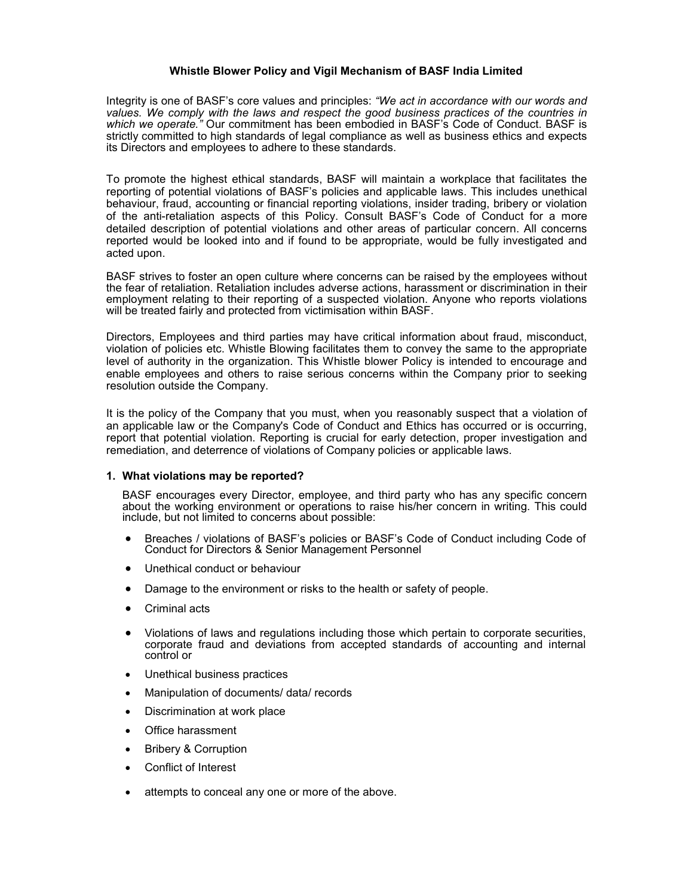# **Whistle Blower Policy and Vigil Mechanism of BASF India Limited**

Integrity is one of BASF's core values and principles: *"We act in accordance with our words and values. We comply with the laws and respect the good business practices of the countries in*  which we operate." Our commitment has been embodied in BASF's Code of Conduct. BASF is strictly committed to high standards of legal compliance as well as business ethics and expects its Directors and employees to adhere to these standards.

To promote the highest ethical standards, BASF will maintain a workplace that facilitates the reporting of potential violations of BASF's policies and applicable laws. This includes unethical behaviour, fraud, accounting or financial reporting violations, insider trading, bribery or violation of the anti-retaliation aspects of this Policy. Consult BASF's Code of Conduct for a more detailed description of potential violations and other areas of particular concern. All concerns reported would be looked into and if found to be appropriate, would be fully investigated and acted upon.

BASF strives to foster an open culture where concerns can be raised by the employees without the fear of retaliation. Retaliation includes adverse actions, harassment or discrimination in their employment relating to their reporting of a suspected violation. Anyone who reports violations will be treated fairly and protected from victimisation within BASF.

Directors, Employees and third parties may have critical information about fraud, misconduct, violation of policies etc. Whistle Blowing facilitates them to convey the same to the appropriate level of authority in the organization. This Whistle blower Policy is intended to encourage and enable employees and others to raise serious concerns within the Company prior to seeking resolution outside the Company.

It is the policy of the Company that you must, when you reasonably suspect that a violation of an applicable law or the Company's Code of Conduct and Ethics has occurred or is occurring, report that potential violation. Reporting is crucial for early detection, proper investigation and remediation, and deterrence of violations of Company policies or applicable laws.

#### **1. What violations may be reported?**

BASF encourages every Director, employee, and third party who has any specific concern about the working environment or operations to raise his/her concern in writing. This could include, but not limited to concerns about possible:

- Breaches / violations of BASF's policies or BASF's Code of Conduct including Code of Conduct for Directors & Senior Management Personnel
- Unethical conduct or behaviour
- Damage to the environment or risks to the health or safety of people.
- Criminal acts
- Violations of laws and regulations including those which pertain to corporate securities, corporate fraud and deviations from accepted standards of accounting and internal control or
- Unethical business practices
- Manipulation of documents/ data/ records
- Discrimination at work place
- Office harassment
- Bribery & Corruption
- Conflict of Interest
- attempts to conceal any one or more of the above.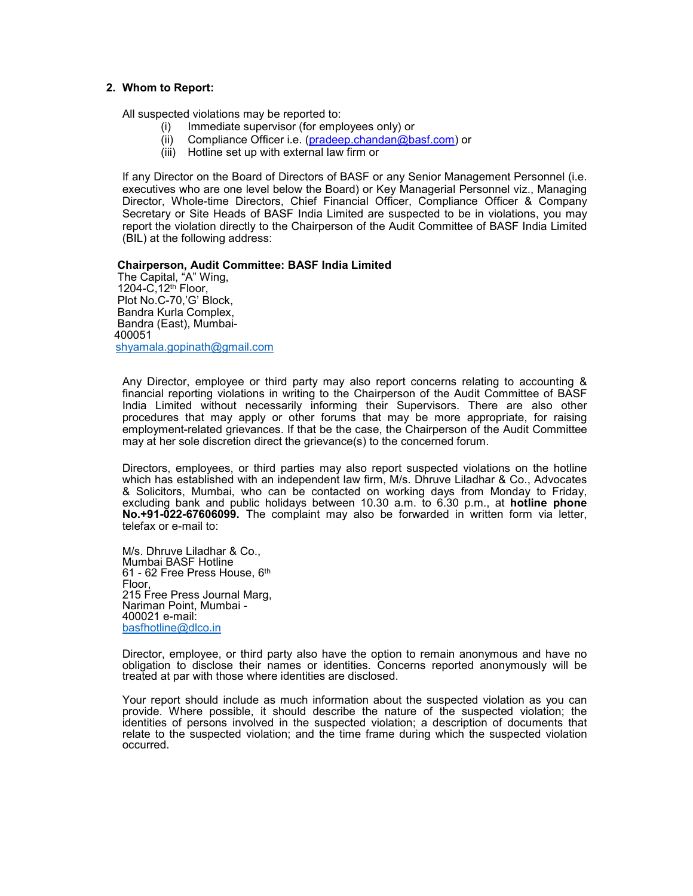### **2. Whom to Report:**

All suspected violations may be reported to:

- (i) Immediate supervisor (for employees only) or
- (ii) Compliance Officer i.e. (pradeep.chandan@basf.com) or
- (iii) Hotline set up with external law firm or

If any Director on the Board of Directors of BASF or any Senior Management Personnel (i.e. executives who are one level below the Board) or Key Managerial Personnel viz., Managing Director, Whole-time Directors, Chief Financial Officer, Compliance Officer & Company Secretary or Site Heads of BASF India Limited are suspected to be in violations, you may report the violation directly to the Chairperson of the Audit Committee of BASF India Limited (BIL) at the following address:

### **Chairperson, Audit Committee: BASF India Limited**

The Capital, "A" Wing, 1204-C,12th Floor, Plot No.C-70,'G' Block, Bandra Kurla Complex, Bandra (East), Mumbai-400051 [shyamala.gopinath@gmail.com](mailto:shyamala.gopinath@gmail.com)

Any Director, employee or third party may also report concerns relating to accounting & financial reporting violations in writing to the Chairperson of the Audit Committee of BASF India Limited without necessarily informing their Supervisors. There are also other procedures that may apply or other forums that may be more appropriate, for raising employment-related grievances. If that be the case, the Chairperson of the Audit Committee may at her sole discretion direct the grievance(s) to the concerned forum.

Directors, employees, or third parties may also report suspected violations on the hotline which has established with an independent law firm, M/s. Dhruve Liladhar & Co., Advocates & Solicitors, Mumbai, who can be contacted on working days from Monday to Friday, excluding bank and public holidays between 10.30 a.m. to 6.30 p.m., at **hotline phone No.+91-022-67606099.** The complaint may also be forwarded in written form via letter, telefax or e-mail to:

M/s. Dhruve Liladhar & Co., Mumbai BASF Hotline 61 - 62 Free Press House, 6th Floor, 215 Free Press Journal Marg, Nariman Point, Mumbai - 400021 e-mail: [basfhotline@dlco.in](mailto:basfhotline@dlco.in)

Director, employee, or third party also have the option to remain anonymous and have no obligation to disclose their names or identities. Concerns reported anonymously will be treated at par with those where identities are disclosed.

Your report should include as much information about the suspected violation as you can provide. Where possible, it should describe the nature of the suspected violation; the identities of persons involved in the suspected violation; a description of documents that relate to the suspected violation; and the time frame during which the suspected violation occurred.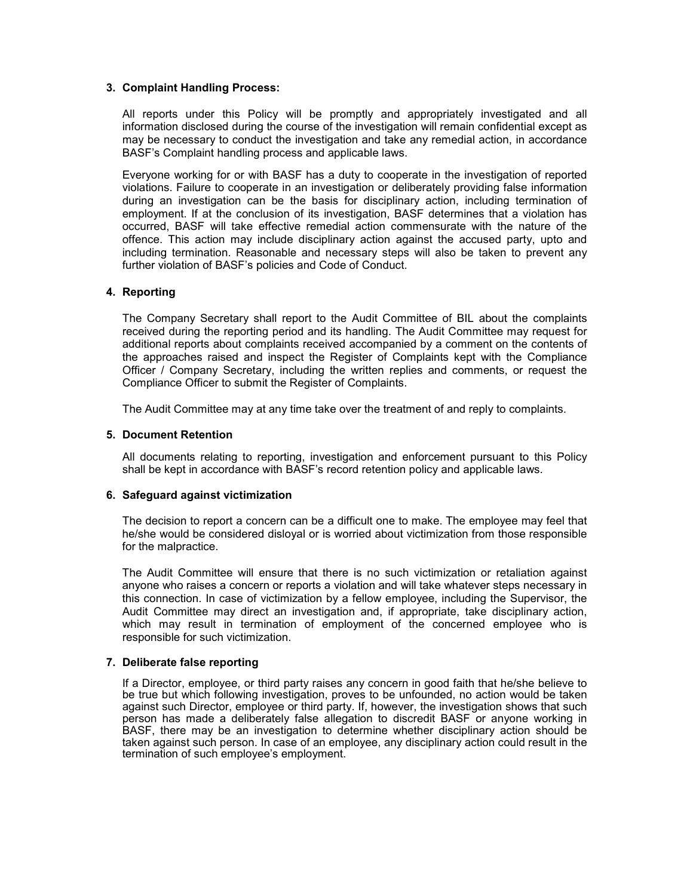# **3. Complaint Handling Process:**

All reports under this Policy will be promptly and appropriately investigated and all information disclosed during the course of the investigation will remain confidential except as may be necessary to conduct the investigation and take any remedial action, in accordance BASF's Complaint handling process and applicable laws.

Everyone working for or with BASF has a duty to cooperate in the investigation of reported violations. Failure to cooperate in an investigation or deliberately providing false information during an investigation can be the basis for disciplinary action, including termination of employment. If at the conclusion of its investigation, BASF determines that a violation has occurred, BASF will take effective remedial action commensurate with the nature of the offence. This action may include disciplinary action against the accused party, upto and including termination. Reasonable and necessary steps will also be taken to prevent any further violation of BASF's policies and Code of Conduct.

# **4. Reporting**

The Company Secretary shall report to the Audit Committee of BIL about the complaints received during the reporting period and its handling. The Audit Committee may request for additional reports about complaints received accompanied by a comment on the contents of the approaches raised and inspect the Register of Complaints kept with the Compliance Officer / Company Secretary, including the written replies and comments, or request the Compliance Officer to submit the Register of Complaints.

The Audit Committee may at any time take over the treatment of and reply to complaints.

### **5. Document Retention**

All documents relating to reporting, investigation and enforcement pursuant to this Policy shall be kept in accordance with BASF's record retention policy and applicable laws.

# **6. Safeguard against victimization**

The decision to report a concern can be a difficult one to make. The employee may feel that he/she would be considered disloyal or is worried about victimization from those responsible for the malpractice.

The Audit Committee will ensure that there is no such victimization or retaliation against anyone who raises a concern or reports a violation and will take whatever steps necessary in this connection. In case of victimization by a fellow employee, including the Supervisor, the Audit Committee may direct an investigation and, if appropriate, take disciplinary action, which may result in termination of employment of the concerned employee who is responsible for such victimization.

# **7. Deliberate false reporting**

If a Director, employee, or third party raises any concern in good faith that he/she believe to be true but which following investigation, proves to be unfounded, no action would be taken against such Director, employee or third party. If, however, the investigation shows that such person has made a deliberately false allegation to discredit BASF or anyone working in BASF, there may be an investigation to determine whether disciplinary action should be taken against such person. In case of an employee, any disciplinary action could result in the termination of such employee's employment.